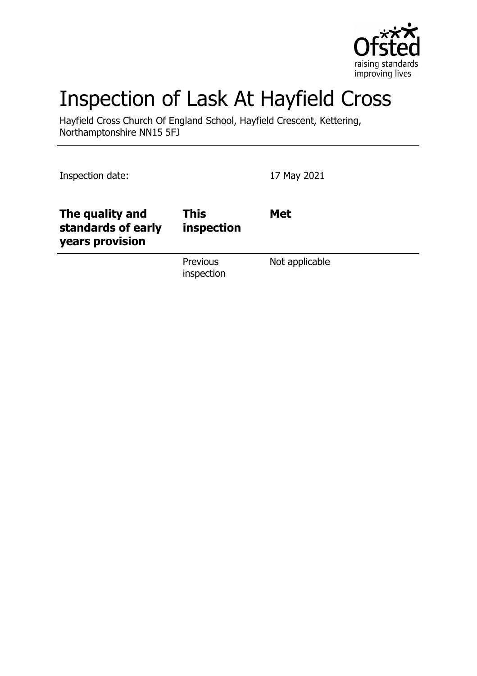

# Inspection of Lask At Hayfield Cross

Hayfield Cross Church Of England School, Hayfield Crescent, Kettering, Northamptonshire NN15 5FJ

Inspection date: 17 May 2021 **The quality and standards of early years provision This inspection Met** Previous inspection Not applicable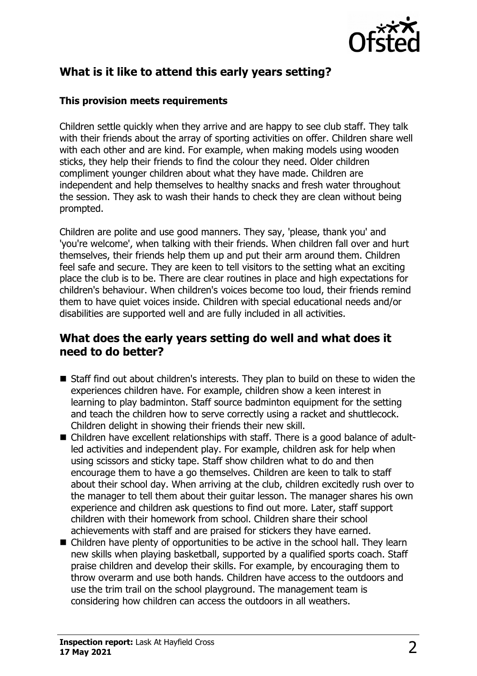

# **What is it like to attend this early years setting?**

#### **This provision meets requirements**

Children settle quickly when they arrive and are happy to see club staff. They talk with their friends about the array of sporting activities on offer. Children share well with each other and are kind. For example, when making models using wooden sticks, they help their friends to find the colour they need. Older children compliment younger children about what they have made. Children are independent and help themselves to healthy snacks and fresh water throughout the session. They ask to wash their hands to check they are clean without being prompted.

Children are polite and use good manners. They say, 'please, thank you' and 'you're welcome', when talking with their friends. When children fall over and hurt themselves, their friends help them up and put their arm around them. Children feel safe and secure. They are keen to tell visitors to the setting what an exciting place the club is to be. There are clear routines in place and high expectations for children's behaviour. When children's voices become too loud, their friends remind them to have quiet voices inside. Children with special educational needs and/or disabilities are supported well and are fully included in all activities.

## **What does the early years setting do well and what does it need to do better?**

- $\blacksquare$  Staff find out about children's interests. They plan to build on these to widen the experiences children have. For example, children show a keen interest in learning to play badminton. Staff source badminton equipment for the setting and teach the children how to serve correctly using a racket and shuttlecock. Children delight in showing their friends their new skill.
- Children have excellent relationships with staff. There is a good balance of adultled activities and independent play. For example, children ask for help when using scissors and sticky tape. Staff show children what to do and then encourage them to have a go themselves. Children are keen to talk to staff about their school day. When arriving at the club, children excitedly rush over to the manager to tell them about their guitar lesson. The manager shares his own experience and children ask questions to find out more. Later, staff support children with their homework from school. Children share their school achievements with staff and are praised for stickers they have earned.
- $\blacksquare$  Children have plenty of opportunities to be active in the school hall. They learn new skills when playing basketball, supported by a qualified sports coach. Staff praise children and develop their skills. For example, by encouraging them to throw overarm and use both hands. Children have access to the outdoors and use the trim trail on the school playground. The management team is considering how children can access the outdoors in all weathers.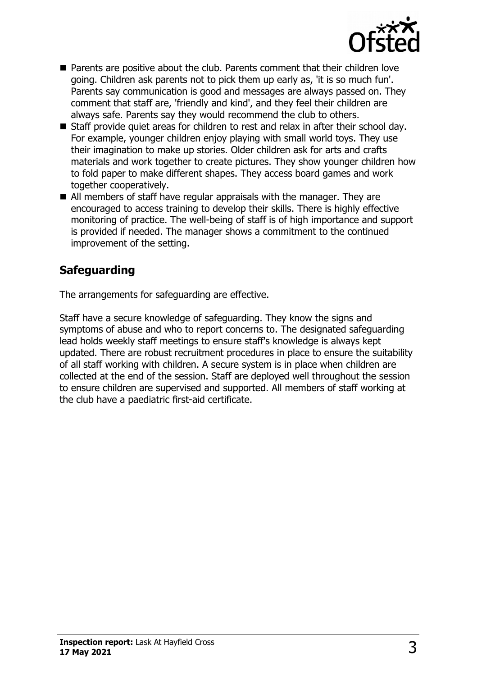

- $\blacksquare$  Parents are positive about the club. Parents comment that their children love going. Children ask parents not to pick them up early as, 'it is so much fun'. Parents say communication is good and messages are always passed on. They comment that staff are, 'friendly and kind', and they feel their children are always safe. Parents say they would recommend the club to others.
- $\blacksquare$  Staff provide quiet areas for children to rest and relax in after their school day. For example, younger children enjoy playing with small world toys. They use their imagination to make up stories. Older children ask for arts and crafts materials and work together to create pictures. They show younger children how to fold paper to make different shapes. They access board games and work together cooperatively.
- $\blacksquare$  All members of staff have regular appraisals with the manager. They are encouraged to access training to develop their skills. There is highly effective monitoring of practice. The well-being of staff is of high importance and support is provided if needed. The manager shows a commitment to the continued improvement of the setting.

# **Safeguarding**

The arrangements for safeguarding are effective.

Staff have a secure knowledge of safeguarding. They know the signs and symptoms of abuse and who to report concerns to. The designated safeguarding lead holds weekly staff meetings to ensure staff's knowledge is always kept updated. There are robust recruitment procedures in place to ensure the suitability of all staff working with children. A secure system is in place when children are collected at the end of the session. Staff are deployed well throughout the session to ensure children are supervised and supported. All members of staff working at the club have a paediatric first-aid certificate.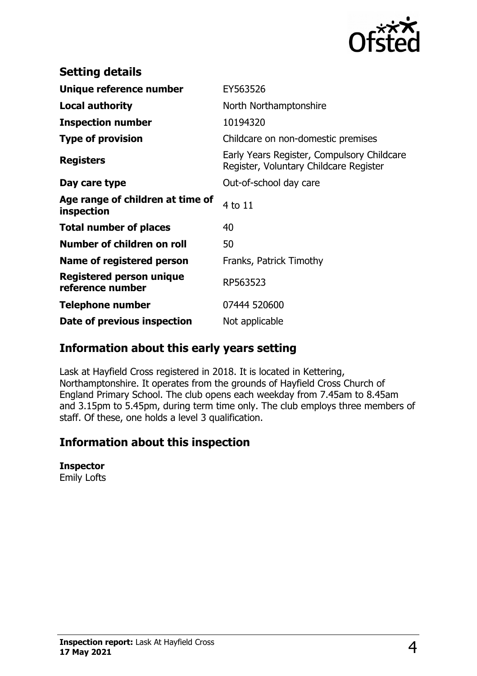

| <b>Setting details</b>                              |                                                                                      |
|-----------------------------------------------------|--------------------------------------------------------------------------------------|
| Unique reference number                             | EY563526                                                                             |
| <b>Local authority</b>                              | North Northamptonshire                                                               |
| <b>Inspection number</b>                            | 10194320                                                                             |
| <b>Type of provision</b>                            | Childcare on non-domestic premises                                                   |
| <b>Registers</b>                                    | Early Years Register, Compulsory Childcare<br>Register, Voluntary Childcare Register |
| Day care type                                       | Out-of-school day care                                                               |
| Age range of children at time of<br>inspection      | 4 to 11                                                                              |
| <b>Total number of places</b>                       | 40                                                                                   |
| Number of children on roll                          | 50                                                                                   |
| Name of registered person                           | Franks, Patrick Timothy                                                              |
| <b>Registered person unique</b><br>reference number | RP563523                                                                             |
| <b>Telephone number</b>                             | 07444 520600                                                                         |
| Date of previous inspection                         | Not applicable                                                                       |

## **Information about this early years setting**

Lask at Hayfield Cross registered in 2018. It is located in Kettering, Northamptonshire. It operates from the grounds of Hayfield Cross Church of England Primary School. The club opens each weekday from 7.45am to 8.45am and 3.15pm to 5.45pm, during term time only. The club employs three members of staff. Of these, one holds a level 3 qualification.

## **Information about this inspection**

#### **Inspector**

Emily Lofts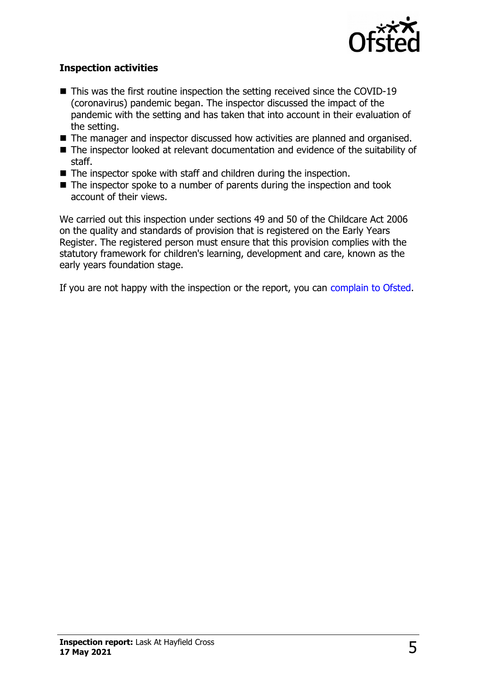

### **Inspection activities**

- $\blacksquare$  This was the first routine inspection the setting received since the COVID-19 (coronavirus) pandemic began. The inspector discussed the impact of the pandemic with the setting and has taken that into account in their evaluation of the setting.
- $\blacksquare$  The manager and inspector discussed how activities are planned and organised.
- $\blacksquare$  The inspector looked at relevant documentation and evidence of the suitability of staff.
- $\blacksquare$  The inspector spoke with staff and children during the inspection.
- $\blacksquare$  The inspector spoke to a number of parents during the inspection and took account of their views.

We carried out this inspection under sections 49 and 50 of the Childcare Act 2006 on the quality and standards of provision that is registered on the Early Years Register. The registered person must ensure that this provision complies with the statutory framework for children's learning, development and care, known as the early years foundation stage.

If you are not happy with the inspection or the report, you can [complain to Ofsted.](http://www.gov.uk/complain-ofsted-report)